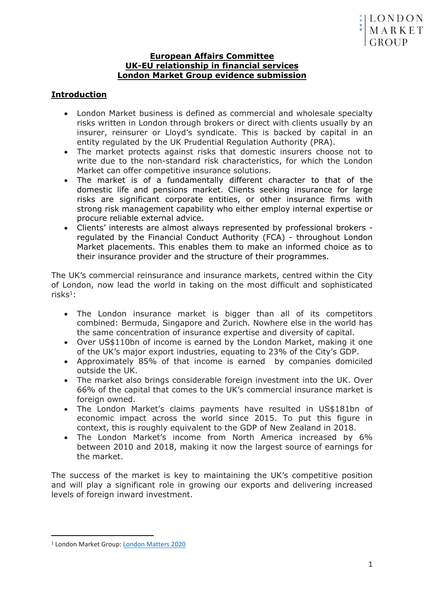### **European Affairs Committee UK-EU relationship in financial services London Market Group evidence submission**

# **Introduction**

- London Market business is defined as commercial and wholesale specialty risks written in London through brokers or direct with clients usually by an insurer, reinsurer or Lloyd's syndicate. This is backed by capital in an entity regulated by the UK Prudential Regulation Authority (PRA).
- The market protects against risks that domestic insurers choose not to write due to the non-standard risk characteristics, for which the London Market can offer competitive insurance solutions.
- The market is of a fundamentally different character to that of the domestic life and pensions market. Clients seeking insurance for large risks are significant corporate entities, or other insurance firms with strong risk management capability who either employ internal expertise or procure reliable external advice.
- Clients' interests are almost always represented by professional brokers regulated by the Financial Conduct Authority (FCA) - throughout London Market placements. This enables them to make an informed choice as to their insurance provider and the structure of their programmes.

The UK's commercial reinsurance and insurance markets, centred within the City of London, now lead the world in taking on the most difficult and sophisticated risks<sup>1</sup>:

- The London insurance market is bigger than all of its competitors combined: Bermuda, Singapore and Zurich. Nowhere else in the world has the same concentration of insurance expertise and diversity of capital.
- Over US\$110bn of income is earned by the London Market, making it one of the UK's major export industries, equating to 23% of the City's GDP.
- Approximately 85% of that income is earned by companies domiciled outside the UK.
- The market also brings considerable foreign investment into the UK. Over 66% of the capital that comes to the UK's commercial insurance market is foreign owned.
- The London Market's claims payments have resulted in US\$181bn of economic impact across the world since 2015. To put this figure in context, this is roughly equivalent to the GDP of New Zealand in 2018.
- The London Market's income from North America increased by 6% between 2010 and 2018, making it now the largest source of earnings for the market.

The success of the market is key to maintaining the UK's competitive position and will play a significant role in growing our exports and delivering increased levels of foreign inward investment.

<sup>1</sup> London Market Group: [London](https://lmg.london/wp-content/uploads/2020/05/London-Matters-2020-Digital-1.pdf) [Matters](https://lmg.london/wp-content/uploads/2020/05/London-Matters-2020-Digital-1.pdf) [2020](https://lmg.london/wp-content/uploads/2020/05/London-Matters-2020-Digital-1.pdf)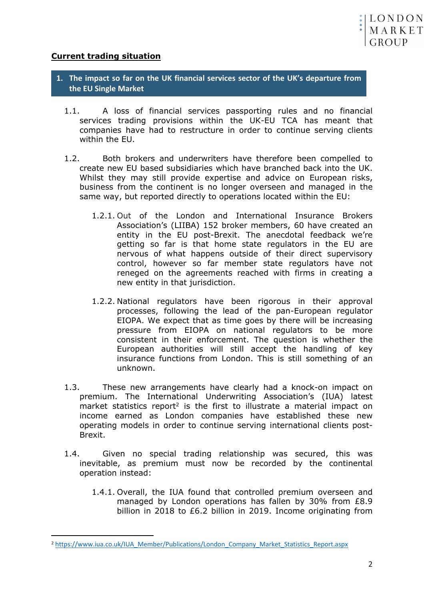

## **Current trading situation**

- **1. The impact so far on the UK financial services sector of the UK's departure from the EU Single Market**
	- 1.1. A loss of financial services passporting rules and no financial services trading provisions within the UK-EU TCA has meant that companies have had to restructure in order to continue serving clients within the EU.
	- 1.2. Both brokers and underwriters have therefore been compelled to create new EU based subsidiaries which have branched back into the UK. Whilst they may still provide expertise and advice on European risks. business from the continent is no longer overseen and managed in the same way, but reported directly to operations located within the EU:
		- 1.2.1. Out of the London and International Insurance Brokers Association's (LIIBA) 152 broker members, 60 have created an entity in the EU post-Brexit. The anecdotal feedback we're getting so far is that home state regulators in the EU are nervous of what happens outside of their direct supervisory control, however so far member state regulators have not reneged on the agreements reached with firms in creating a new entity in that jurisdiction.
		- 1.2.2. National regulators have been rigorous in their approval processes, following the lead of the pan-European regulator EIOPA. We expect that as time goes by there will be increasing pressure from EIOPA on national regulators to be more consistent in their enforcement. The question is whether the European authorities will still accept the handling of key insurance functions from London. This is still something of an unknown.
	- 1.3. These new arrangements have clearly had a knock-on impact on premium. The International Underwriting Association's (IUA) latest market statistics report<sup>2</sup> is the first to illustrate a material impact on income earned as London companies have established these new operating models in order to continue serving international clients post-Brexit.
	- 1.4. Given no special trading relationship was secured, this was inevitable, as premium must now be recorded by the continental operation instead:
		- 1.4.1. Overall, the IUA found that controlled premium overseen and managed by London operations has fallen by 30% from £8.9 billion in 2018 to £6.2 billion in 2019. Income originating from

<sup>2</sup> [https://www.iua.co.uk/IUA\\_Member/Publications/London\\_Company\\_Market\\_Statistics\\_Report.aspx](https://www.iua.co.uk/IUA_Member/Publications/London_Company_Market_Statistics_Report.aspx)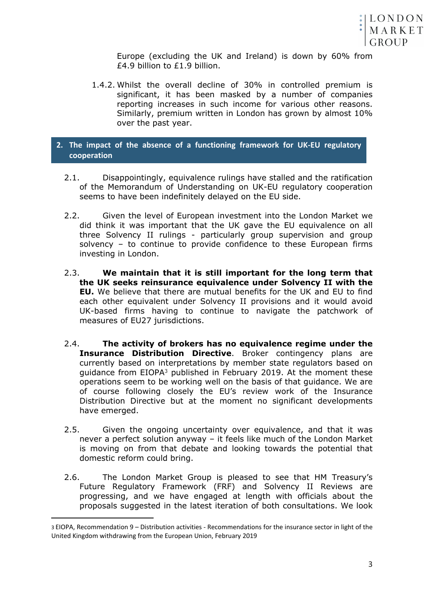

Europe (excluding the UK and Ireland) is down by 60% from £4.9 billion to £1.9 billion.

1.4.2. Whilst the overall decline of 30% in controlled premium is significant, it has been masked by a number of companies reporting increases in such income for various other reasons. Similarly, premium written in London has grown by almost 10% over the past year.

### **2. The impact of the absence of a functioning framework for UK-EU regulatory cooperation**

- 2.1. Disappointingly, equivalence rulings have stalled and the ratification of the Memorandum of Understanding on UK-EU regulatory cooperation seems to have been indefinitely delayed on the EU side.
- 2.2. Given the level of European investment into the London Market we did think it was important that the UK gave the EU equivalence on all three Solvency II rulings - particularly group supervision and group solvency – to continue to provide confidence to these European firms investing in London.
- 2.3. **We maintain that it is still important for the long term that the UK seeks reinsurance equivalence under Solvency II with the EU.** We believe that there are mutual benefits for the UK and EU to find each other equivalent under Solvency II provisions and it would avoid UK-based firms having to continue to navigate the patchwork of measures of EU27 jurisdictions.
- 2.4. **The activity of brokers has no equivalence regime under the Insurance Distribution Directive**. Broker contingency plans are currently based on interpretations by member state regulators based on guidance from EIOPA<sup>3</sup> published in February 2019. At the moment these operations seem to be working well on the basis of that guidance. We are of course following closely the EU's review work of the Insurance Distribution Directive but at the moment no significant developments have emerged.
- 2.5. Given the ongoing uncertainty over equivalence, and that it was never a perfect solution anyway – it feels like much of the London Market is moving on from that debate and looking towards the potential that domestic reform could bring.
- 2.6. The London Market Group is pleased to see that HM Treasury's Future Regulatory Framework (FRF) and Solvency II Reviews are progressing, and we have engaged at length with officials about the proposals suggested in the latest iteration of both consultations. We look

<sup>3</sup> EIOPA, Recommendation 9 – Distribution activities - Recommendations for the insurance sector in light of the United Kingdom withdrawing from the European Union, February 2019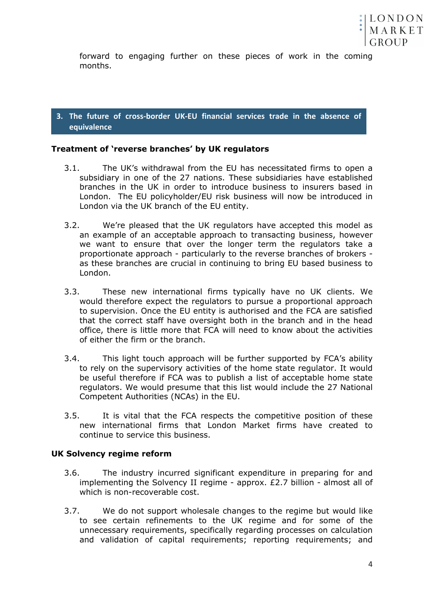

forward to engaging further on these pieces of work in the coming months.

**3. The future of cross-border UK-EU financial services trade in the absence of equivalence**

### **Treatment of 'reverse branches' by UK regulators**

- 3.1. The UK's withdrawal from the EU has necessitated firms to open a subsidiary in one of the 27 nations. These subsidiaries have established branches in the UK in order to introduce business to insurers based in London. The EU policyholder/EU risk business will now be introduced in London via the UK branch of the EU entity.
- 3.2. We're pleased that the UK regulators have accepted this model as an example of an acceptable approach to transacting business, however we want to ensure that over the longer term the regulators take a proportionate approach - particularly to the reverse branches of brokers as these branches are crucial in continuing to bring EU based business to London.
- 3.3. These new international firms typically have no UK clients. We would therefore expect the regulators to pursue a proportional approach to supervision. Once the EU entity is authorised and the FCA are satisfied that the correct staff have oversight both in the branch and in the head office, there is little more that FCA will need to know about the activities of either the firm or the branch.
- 3.4. This light touch approach will be further supported by FCA's ability to rely on the supervisory activities of the home state regulator. It would be useful therefore if FCA was to publish a list of acceptable home state regulators. We would presume that this list would include the 27 National Competent Authorities (NCAs) in the EU.
- 3.5. It is vital that the FCA respects the competitive position of these new international firms that London Market firms have created to continue to service this business.

#### **UK Solvency regime reform**

- 3.6. The industry incurred significant expenditure in preparing for and implementing the Solvency II regime - approx. £2.7 billion - almost all of which is non-recoverable cost.
- 3.7. We do not support wholesale changes to the regime but would like to see certain refinements to the UK regime and for some of the unnecessary requirements, specifically regarding processes on calculation and validation of capital requirements; reporting requirements; and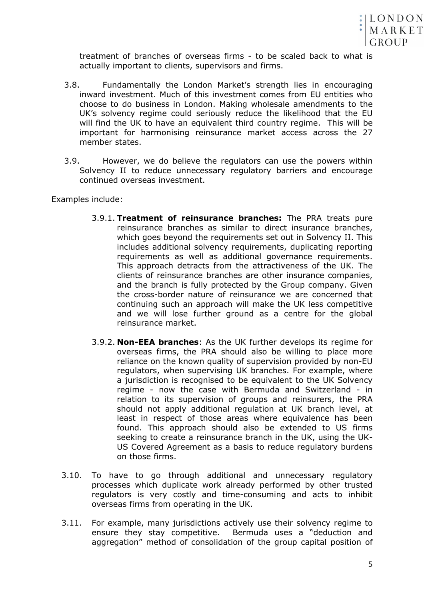

treatment of branches of overseas firms - to be scaled back to what is actually important to clients, supervisors and firms.

- 3.8. Fundamentally the London Market's strength lies in encouraging inward investment. Much of this investment comes from EU entities who choose to do business in London. Making wholesale amendments to the UK's solvency regime could seriously reduce the likelihood that the EU will find the UK to have an equivalent third country regime. This will be important for harmonising reinsurance market access across the 27 member states.
- 3.9. However, we do believe the regulators can use the powers within Solvency II to reduce unnecessary regulatory barriers and encourage continued overseas investment.

Examples include:

- 3.9.1. **Treatment of reinsurance branches:** The PRA treats pure reinsurance branches as similar to direct insurance branches, which goes beyond the requirements set out in Solvency II. This includes additional solvency requirements, duplicating reporting requirements as well as additional governance requirements. This approach detracts from the attractiveness of the UK. The clients of reinsurance branches are other insurance companies, and the branch is fully protected by the Group company. Given the cross-border nature of reinsurance we are concerned that continuing such an approach will make the UK less competitive and we will lose further ground as a centre for the global reinsurance market.
- 3.9.2. **Non-EEA branches**: As the UK further develops its regime for overseas firms, the PRA should also be willing to place more reliance on the known quality of supervision provided by non-EU regulators, when supervising UK branches. For example, where a jurisdiction is recognised to be equivalent to the UK Solvency regime - now the case with Bermuda and Switzerland - in relation to its supervision of groups and reinsurers, the PRA should not apply additional regulation at UK branch level, at least in respect of those areas where equivalence has been found. This approach should also be extended to US firms seeking to create a reinsurance branch in the UK, using the UK-US Covered Agreement as a basis to reduce regulatory burdens on those firms.
- 3.10. To have to go through additional and unnecessary regulatory processes which duplicate work already performed by other trusted regulators is very costly and time-consuming and acts to inhibit overseas firms from operating in the UK.
- 3.11. For example, many jurisdictions actively use their solvency regime to ensure they stay competitive. Bermuda uses a "deduction and aggregation" method of consolidation of the group capital position of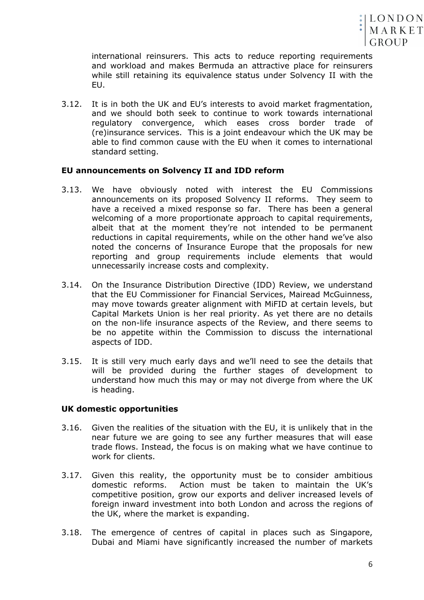

international reinsurers. This acts to reduce reporting requirements and workload and makes Bermuda an attractive place for reinsurers while still retaining its equivalence status under Solvency II with the EU.

3.12. It is in both the UK and EU's interests to avoid market fragmentation, and we should both seek to continue to work towards international regulatory convergence, which eases cross border trade of (re)insurance services. This is a joint endeavour which the UK may be able to find common cause with the EU when it comes to international standard setting.

#### **EU announcements on Solvency II and IDD reform**

- 3.13. We have obviously noted with interest the EU Commissions announcements on its proposed Solvency II reforms. They seem to have a received a mixed response so far. There has been a general welcoming of a more proportionate approach to capital requirements, albeit that at the moment they're not intended to be permanent reductions in capital requirements, while on the other hand we've also noted the concerns of Insurance Europe that the proposals for new reporting and group requirements include elements that would unnecessarily increase costs and complexity.
- 3.14. On the Insurance Distribution Directive (IDD) Review, we understand that the EU Commissioner for Financial Services, Mairead McGuinness, may move towards greater alignment with MiFID at certain levels, but Capital Markets Union is her real priority. As yet there are no details on the non-life insurance aspects of the Review, and there seems to be no appetite within the Commission to discuss the international aspects of IDD.
- 3.15. It is still very much early days and we'll need to see the details that will be provided during the further stages of development to understand how much this may or may not diverge from where the UK is heading.

#### **UK domestic opportunities**

- 3.16. Given the realities of the situation with the EU, it is unlikely that in the near future we are going to see any further measures that will ease trade flows. Instead, the focus is on making what we have continue to work for clients.
- 3.17. Given this reality, the opportunity must be to consider ambitious domestic reforms. Action must be taken to maintain the UK's competitive position, grow our exports and deliver increased levels of foreign inward investment into both London and across the regions of the UK, where the market is expanding.
- 3.18. The emergence of centres of capital in places such as Singapore, Dubai and Miami have significantly increased the number of markets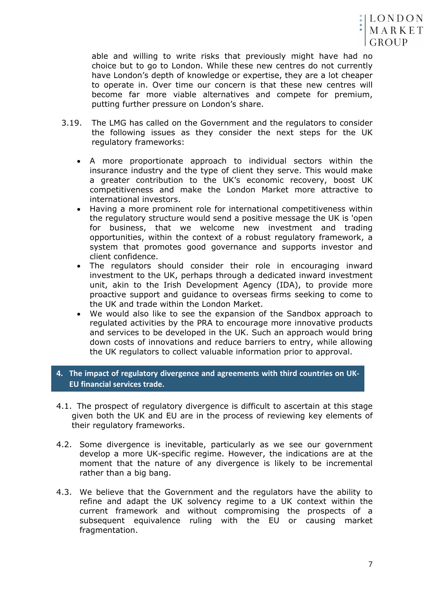

able and willing to write risks that previously might have had no choice but to go to London. While these new centres do not currently have London's depth of knowledge or expertise, they are a lot cheaper to operate in. Over time our concern is that these new centres will become far more viable alternatives and compete for premium, putting further pressure on London's share.

- 3.19. The LMG has called on the Government and the regulators to consider the following issues as they consider the next steps for the UK regulatory frameworks:
	- A more proportionate approach to individual sectors within the insurance industry and the type of client they serve. This would make a greater contribution to the UK's economic recovery, boost UK competitiveness and make the London Market more attractive to international investors.
	- Having a more prominent role for international competitiveness within the regulatory structure would send a positive message the UK is 'open for business, that we welcome new investment and trading opportunities, within the context of a robust regulatory framework, a system that promotes good governance and supports investor and client confidence.
	- The regulators should consider their role in encouraging inward investment to the UK, perhaps through a dedicated inward investment unit, akin to the Irish Development Agency (IDA), to provide more proactive support and guidance to overseas firms seeking to come to the UK and trade within the London Market.
	- We would also like to see the expansion of the Sandbox approach to regulated activities by the PRA to encourage more innovative products and services to be developed in the UK. Such an approach would bring down costs of innovations and reduce barriers to entry, while allowing the UK regulators to collect valuable information prior to approval.

**4. The impact of regulatory divergence and agreements with third countries on UK-EU financial services trade.**

- 4.1. The prospect of regulatory divergence is difficult to ascertain at this stage given both the UK and EU are in the process of reviewing key elements of their regulatory frameworks.
- 4.2. Some divergence is inevitable, particularly as we see our government develop a more UK-specific regime. However, the indications are at the moment that the nature of any divergence is likely to be incremental rather than a big bang.
- 4.3. We believe that the Government and the regulators have the ability to refine and adapt the UK solvency regime to a UK context within the current framework and without compromising the prospects of a subsequent equivalence ruling with the EU or causing market fragmentation.